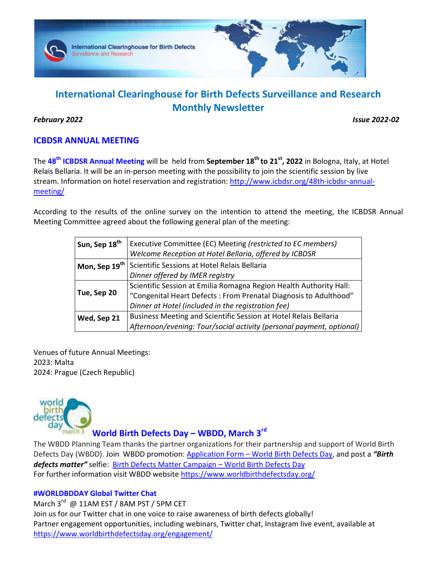

# **International Clearinghouse for Birth Defects Surveillance and Research Monthly Newsletter**

### *February 2022 Issue 2022-02*

# **ICBDSR ANNUAL MEETING**

The **48th ICBDSR Annual Meeting** will be held from **September 18th to 21st, 2022** in Bologna, Italy, at Hotel Relais Bellaria. It will be an in-person meeting with the possibility to join the scientific session by live stream. Information on hotel reservation and registration: http://www.icbdsr.org/48th-icbdsr-annualmeeting/

According to the results of the online survey on the intention to attend the meeting, the ICBDSR Annual Meeting Committee agreed about the following general plan of the meeting:

| <sup>'</sup> Sun, Sep 18 <sup>th</sup> | Executive Committee (EC) Meeting (restricted to EC members)          |
|----------------------------------------|----------------------------------------------------------------------|
|                                        | Welcome Reception at Hotel Bellaria, offered by ICBDSR               |
| Mon, Sep 19 <sup>th</sup>              | Scientific Sessions at Hotel Relais Bellaria                         |
|                                        | Dinner offered by IMER registry                                      |
|                                        | Scientific Session at Emilia Romagna Region Health Authority Hall:   |
| Tue, Sep 20                            | "Congenital Heart Defects: From Prenatal Diagnosis to Adulthood"     |
|                                        | Dinner at Hotel (included in the registration fee)                   |
| Wed, Sep 21                            | Business Meeting and Scientific Session at Hotel Relais Bellaria     |
|                                        | Afternoon/evening: Tour/social activity (personal payment, optional) |

Venues of future Annual Meetings: 2023: Malta 2024: Prague (Czech Republic)



# **World Birth Defects Day – WBDD, March 3rd**

The WBDD Planning Team thanks the partner organizations for their partnership and support of World Birth Defects Day (WBDD). Join WBDD promotion: Application Form – World Birth Defects Day, and post a *"Birth defects matter"* selfie: Birth Defects Matter Campaign – World Birth Defects Day For further information visit WBDD website https://www.worldbirthdefectsday.org/

### **#WORLDBDDAY Global Twitter Chat**

March 3<sup>rd</sup> @ 11AM EST / 8AM PST / 5PM CET

Join us for our Twitter chat in one voice to raise awareness of birth defects globally! Partner engagement opportunities, including webinars, Twitter chat, Instagram live event, available at https://www.worldbirthdefectsday.org/engagement/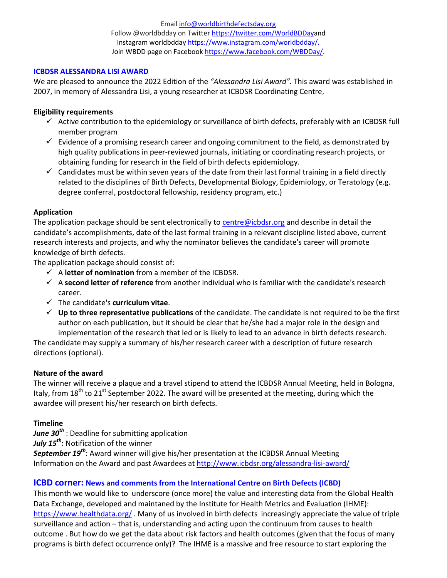Email info@worldbirthdefectsday.org Follow @worldbdday on Twitter https://twitter.com/WorldBDDayand Instagram worldbdday https://www.instagram.com/worldbdday/. Join WBDD page on Facebook https://www.facebook.com/WBDDay/.

### **ICBDSR ALESSANDRA LISI AWARD**

We are pleased to announce the 2022 Edition of the *"Alessandra Lisi Award".* This award was established in 2007, in memory of Alessandra Lisi, a young researcher at ICBDSR Coordinating Centre,

#### **Eligibility requirements**

- $\checkmark$  Active contribution to the epidemiology or surveillance of birth defects, preferably with an ICBDSR full member program
- $\checkmark$  Evidence of a promising research career and ongoing commitment to the field, as demonstrated by high quality publications in peer-reviewed journals, initiating or coordinating research projects, or obtaining funding for research in the field of birth defects epidemiology.
- $\checkmark$  Candidates must be within seven years of the date from their last formal training in a field directly related to the disciplines of Birth Defects, Developmental Biology, Epidemiology, or Teratology (e.g. degree conferral, postdoctoral fellowship, residency program, etc.)

#### **Application**

The application package should be sent electronically to centre@icbdsr.org and describe in detail the candidate's accomplishments, date of the last formal training in a relevant discipline listed above, current research interests and projects, and why the nominator believes the candidate's career will promote knowledge of birth defects.

The application package should consist of:

- A **letter of nomination** from a member of the ICBDSR.
- A **second letter of reference** from another individual who is familiar with the candidate's research career.
- The candidate's **curriculum vitae**.
- **Up to three representative publications** of the candidate. The candidate is not required to be the first author on each publication, but it should be clear that he/she had a major role in the design and implementation of the research that led or is likely to lead to an advance in birth defects research.

The candidate may supply a summary of his/her research career with a description of future research directions (optional).

### **Nature of the award**

The winner will receive a plaque and a travel stipend to attend the ICBDSR Annual Meeting, held in Bologna, Italy, from  $18<sup>th</sup>$  to 21<sup>st</sup> September 2022. The award will be presented at the meeting, during which the awardee will present his/her research on birth defects.

### **Timeline**

*June 30th* : Deadline for submitting application *July 15th***:** Notification of the winner *September 19th*: Award winner will give his/her presentation at the ICBDSR Annual Meeting Information on the Award and past Awardees at http://www.icbdsr.org/alessandra-lisi-award/

### **ICBD corner: News and comments from the International Centre on Birth Defects (ICBD)**

This month we would like to underscore (once more) the value and interesting data from the Global Health Data Exchange, developed and maintaned by the Institute for Health Metrics and Evaluation (IHME): https://www.healthdata.org/ . Many of us involved in birth defects increasingly appreciate the value of triple surveillance and action – that is, understanding and acting upon the continuum from causes to health outcome . But how do we get the data about risk factors and health outcomes (given that the focus of many programs is birth defect occurrence only)? The IHME is a massive and free resource to start exploring the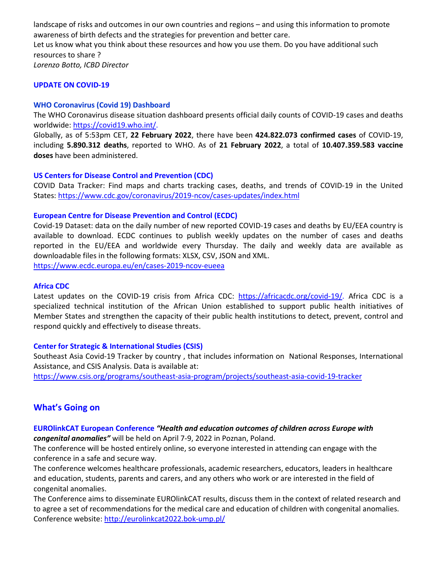landscape of risks and outcomes in our own countries and regions – and using this information to promote awareness of birth defects and the strategies for prevention and better care. Let us know what you think about these resources and how you use them. Do you have additional such resources to share ? *Lorenzo Botto, ICBD Director* 

#### **UPDATE ON COVID-19**

#### **WHO Coronavirus (Covid 19) Dashboard**

The WHO Coronavirus disease situation dashboard presents official daily counts of COVID-19 cases and deaths worldwide: https://covid19.who.int/.

Globally, as of 5:53pm CET, **22 February 2022**, there have been **424.822.073 confirmed cases** of COVID-19, including **5.890.312 deaths**, reported to WHO. As of **21 February 2022**, a total of **10.407.359.583 vaccine doses** have been administered.

#### **US Centers for Disease Control and Prevention (CDC)**

COVID Data Tracker: Find maps and charts tracking cases, deaths, and trends of COVID-19 in the United States: https://www.cdc.gov/coronavirus/2019-ncov/cases-updates/index.html

#### **European Centre for Disease Prevention and Control (ECDC)**

Covid-19 Dataset: data on the daily number of new reported COVID-19 cases and deaths by EU/EEA country is available to download. ECDC continues to publish weekly updates on the number of cases and deaths reported in the EU/EEA and worldwide every Thursday. The daily and weekly data are available as downloadable files in the following formats: XLSX, CSV, JSON and XML.

https://www.ecdc.europa.eu/en/cases-2019-ncov-eueea

### **Africa CDC**

Latest updates on the COVID-19 crisis from Africa CDC: https://africacdc.org/covid-19/. Africa CDC is a specialized technical institution of the African Union established to support public health initiatives of Member States and strengthen the capacity of their public health institutions to detect, prevent, control and respond quickly and effectively to disease threats.

### **Center for Strategic & International Studies (CSIS)**

Southeast Asia Covid-19 Tracker by country , that includes information on National Responses, International Assistance, and CSIS Analysis. Data is available at:

https://www.csis.org/programs/southeast-asia-program/projects/southeast-asia-covid-19-tracker

### **What's Going on**

### **EUROlinkCAT European Conference** *"Health and education outcomes of children across Europe with congenital anomalies"* will be held on April 7-9, 2022 in Poznan, Poland.

The conference will be hosted entirely online, so everyone interested in attending can engage with the conference in a safe and secure way.

The conference welcomes healthcare professionals, academic researchers, educators, leaders in healthcare and education, students, parents and carers, and any others who work or are interested in the field of congenital anomalies.

The Conference aims to disseminate EUROlinkCAT results, discuss them in the context of related research and to agree a set of recommendations for the medical care and education of children with congenital anomalies. Conference website: http://eurolinkcat2022.bok-ump.pl/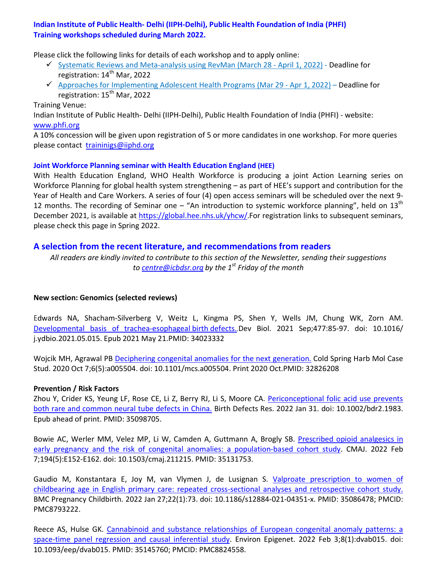### **Indian Institute of Public Health- Delhi (IIPH-Delhi), Public Health Foundation of India (PHFI) Training workshops scheduled during March 2022.**

Please click the following links for details of each workshop and to apply online:

- Systematic Reviews and Meta-analysis using RevMan (March 28 April 1, 2022) Deadline for registration: 14<sup>th</sup> Mar. 2022
- Approaches for Implementing Adolescent Health Programs (Mar 29 Apr 1, 2022) Deadline for registration: 15<sup>th</sup> Mar, 2022

### Training Venue:

Indian Institute of Public Health- Delhi (IIPH-Delhi), Public Health Foundation of India (PHFI) - website: www.phfi.org

A 10% concession will be given upon registration of 5 or more candidates in one workshop. For more queries please contact traininigs@iiphd.org

### **Joint Workforce Planning seminar with Health Education England (HEE)**

With Health Education England, WHO Health Workforce is producing a joint Action Learning series on Workforce Planning for global health system strengthening – as part of HEE's support and contribution for the Year of Health and Care Workers. A series of four (4) open access seminars will be scheduled over the next 9- 12 months. The recording of Seminar one – "An introduction to systemic workforce planning", held on  $13<sup>th</sup>$ December 2021, is available at https://global.hee.nhs.uk/yhcw/.For registration links to subsequent seminars, please check this page in Spring 2022.

### **A selection from the recent literature, and recommendations from readers**

*All readers are kindly invited to contribute to this section of the Newsletter, sending their suggestions to centre@icbdsr.org by the 1st Friday of the month*

### **New section: Genomics (selected reviews)**

Edwards NA, Shacham-Silverberg V, Weitz L, Kingma PS, Shen Y, Wells JM, Chung WK, Zorn AM. Developmental basis of trachea-esophageal birth defects. Dev Biol. 2021 Sep;477:85-97. doi: 10.1016/ j.ydbio.2021.05.015. Epub 2021 May 21.PMID: 34023332

Wojcik MH, Agrawal PB Deciphering congenital anomalies for the next generation. Cold Spring Harb Mol Case Stud. 2020 Oct 7;6(5):a005504. doi: 10.1101/mcs.a005504. Print 2020 Oct.PMID: 32826208

### **Prevention / Risk Factors**

Zhou Y, Crider KS, Yeung LF, Rose CE, Li Z, Berry RJ, Li S, Moore CA. Periconceptional folic acid use prevents both rare and common neural tube defects in China. Birth Defects Res. 2022 Jan 31. doi: 10.1002/bdr2.1983. Epub ahead of print. PMID: 35098705.

Bowie AC, Werler MM, Velez MP, Li W, Camden A, Guttmann A, Brogly SB. Prescribed opioid analgesics in early pregnancy and the risk of congenital anomalies: a population-based cohort study. CMAJ. 2022 Feb 7;194(5):E152-E162. doi: 10.1503/cmaj.211215. PMID: 35131753.

Gaudio M, Konstantara E, Joy M, van Vlymen J, de Lusignan S. Valproate prescription to women of childbearing age in English primary care: repeated cross-sectional analyses and retrospective cohort study. BMC Pregnancy Childbirth. 2022 Jan 27;22(1):73. doi: 10.1186/s12884-021-04351-x. PMID: 35086478; PMCID: PMC8793222.

Reece AS, Hulse GK. Cannabinoid and substance relationships of European congenital anomaly patterns: a space-time panel regression and causal inferential study. Environ Epigenet. 2022 Feb 3;8(1):dvab015. doi: 10.1093/eep/dvab015. PMID: 35145760; PMCID: PMC8824558.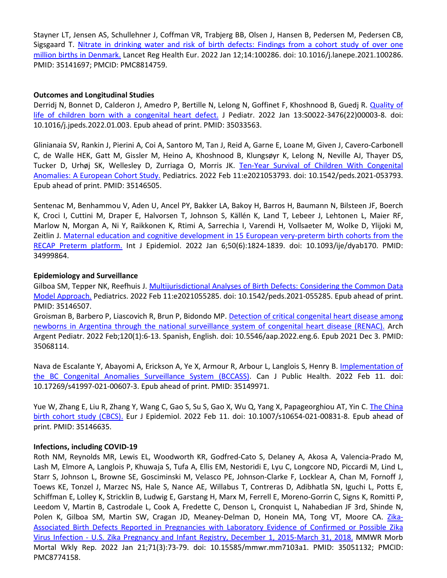Stayner LT, Jensen AS, Schullehner J, Coffman VR, Trabjerg BB, Olsen J, Hansen B, Pedersen M, Pedersen CB, Sigsgaard T. Nitrate in drinking water and risk of birth defects: Findings from a cohort study of over one million births in Denmark. Lancet Reg Health Eur. 2022 Jan 12;14:100286. doi: 10.1016/j.lanepe.2021.100286. PMID: 35141697; PMCID: PMC8814759.

### **Outcomes and Longitudinal Studies**

Derridj N, Bonnet D, Calderon J, Amedro P, Bertille N, Lelong N, Goffinet F, Khoshnood B, Guedj R. Quality of life of children born with a congenital heart defect. J Pediatr. 2022 Jan 13:S0022-3476(22)00003-8. doi: 10.1016/j.jpeds.2022.01.003. Epub ahead of print. PMID: 35033563.

Glinianaia SV, Rankin J, Pierini A, Coi A, Santoro M, Tan J, Reid A, Garne E, Loane M, Given J, Cavero-Carbonell C, de Walle HEK, Gatt M, Gissler M, Heino A, Khoshnood B, Klungsøyr K, Lelong N, Neville AJ, Thayer DS, Tucker D, Urhøj SK, Wellesley D, Zurriaga O, Morris JK. Ten-Year Survival of Children With Congenital Anomalies: A European Cohort Study. Pediatrics. 2022 Feb 11:e2021053793. doi: 10.1542/peds.2021-053793. Epub ahead of print. PMID: 35146505.

Sentenac M, Benhammou V, Aden U, Ancel PY, Bakker LA, Bakoy H, Barros H, Baumann N, Bilsteen JF, Boerch K, Croci I, Cuttini M, Draper E, Halvorsen T, Johnson S, Källén K, Land T, Lebeer J, Lehtonen L, Maier RF, Marlow N, Morgan A, Ni Y, Raikkonen K, Rtimi A, Sarrechia I, Varendi H, Vollsaeter M, Wolke D, Ylijoki M, Zeitlin J. Maternal education and cognitive development in 15 European very-preterm birth cohorts from the RECAP Preterm platform. Int J Epidemiol. 2022 Jan 6;50(6):1824-1839. doi: 10.1093/ije/dyab170. PMID: 34999864.

### **Epidemiology and Surveillance**

Gilboa SM, Tepper NK, Reefhuis J. Multijurisdictional Analyses of Birth Defects: Considering the Common Data Model Approach. Pediatrics. 2022 Feb 11:e2021055285. doi: 10.1542/peds.2021-055285. Epub ahead of print. PMID: 35146507.

Groisman B, Barbero P, Liascovich R, Brun P, Bidondo MP. Detection of critical congenital heart disease among newborns in Argentina through the national surveillance system of congenital heart disease (RENAC). Arch Argent Pediatr. 2022 Feb;120(1):6-13. Spanish, English. doi: 10.5546/aap.2022.eng.6. Epub 2021 Dec 3. PMID: 35068114.

Nava de Escalante Y, Abayomi A, Erickson A, Ye X, Armour R, Arbour L, Langlois S, Henry B. Implementation of the BC Congenital Anomalies Surveillance System (BCCASS). Can J Public Health. 2022 Feb 11. doi: 10.17269/s41997-021-00607-3. Epub ahead of print. PMID: 35149971.

Yue W, Zhang E, Liu R, Zhang Y, Wang C, Gao S, Su S, Gao X, Wu Q, Yang X, Papageorghiou AT, Yin C. The China birth cohort study (CBCS). Eur J Epidemiol. 2022 Feb 11. doi: 10.1007/s10654-021-00831-8. Epub ahead of print. PMID: 35146635.

### **Infections, including COVID-19**

Roth NM, Reynolds MR, Lewis EL, Woodworth KR, Godfred-Cato S, Delaney A, Akosa A, Valencia-Prado M, Lash M, Elmore A, Langlois P, Khuwaja S, Tufa A, Ellis EM, Nestoridi E, Lyu C, Longcore ND, Piccardi M, Lind L, Starr S, Johnson L, Browne SE, Gosciminski M, Velasco PE, Johnson-Clarke F, Locklear A, Chan M, Fornoff J, Toews KE, Tonzel J, Marzec NS, Hale S, Nance AE, Willabus T, Contreras D, Adibhatla SN, Iguchi L, Potts E, Schiffman E, Lolley K, Stricklin B, Ludwig E, Garstang H, Marx M, Ferrell E, Moreno-Gorrin C, Signs K, Romitti P, Leedom V, Martin B, Castrodale L, Cook A, Fredette C, Denson L, Cronquist L, Nahabedian JF 3rd, Shinde N, Polen K, Gilboa SM, Martin SW, Cragan JD, Meaney-Delman D, Honein MA, Tong VT, Moore CA. Zika-Associated Birth Defects Reported in Pregnancies with Laboratory Evidence of Confirmed or Possible Zika Virus Infection - U.S. Zika Pregnancy and Infant Registry, December 1, 2015-March 31, 2018. MMWR Morb Mortal Wkly Rep. 2022 Jan 21;71(3):73-79. doi: 10.15585/mmwr.mm7103a1. PMID: 35051132; PMCID: PMC8774158.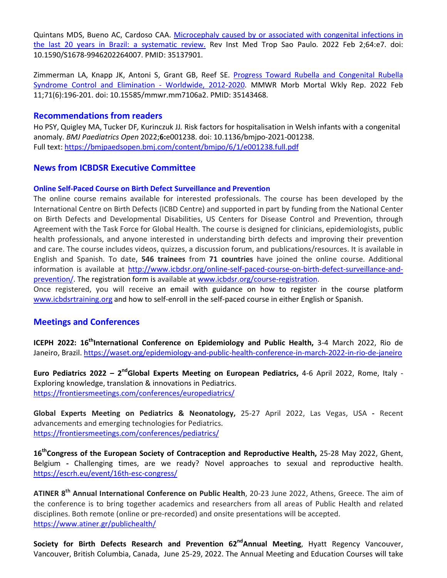Quintans MDS, Bueno AC, Cardoso CAA. Microcephaly caused by or associated with congenital infections in the last 20 years in Brazil: a systematic review. Rev Inst Med Trop Sao Paulo. 2022 Feb 2;64:e7. doi: 10.1590/S1678-9946202264007. PMID: 35137901.

Zimmerman LA, Knapp JK, Antoni S, Grant GB, Reef SE. Progress Toward Rubella and Congenital Rubella Syndrome Control and Elimination - Worldwide, 2012-2020. MMWR Morb Mortal Wkly Rep. 2022 Feb 11;71(6):196-201. doi: 10.15585/mmwr.mm7106a2. PMID: 35143468.

### **Recommendations from readers**

Ho PSY, Quigley MA, Tucker DF*,* Kurinczuk JJ*.* Risk factors for hospitalisation in Welsh infants with a congenital anomaly. *BMJ Paediatrics Open* 2022;**6:**e001238. doi: 10.1136/bmjpo-2021-001238. Full text: https://bmjpaedsopen.bmj.com/content/bmjpo/6/1/e001238.full.pdf

### **News from ICBDSR Executive Committee**

### **Online Self-Paced Course on Birth Defect Surveillance and Prevention**

The online course remains available for interested professionals. The course has been developed by the International Centre on Birth Defects (ICBD Centre) and supported in part by funding from the National Center on Birth Defects and Developmental Disabilities, US Centers for Disease Control and Prevention, through Agreement with the Task Force for Global Health. The course is designed for clinicians, epidemiologists, public health professionals, and anyone interested in understanding birth defects and improving their prevention and care. The course includes videos, quizzes, a discussion forum, and publications/resources. It is available in English and Spanish. To date, **546 trainees** from **71 countries** have joined the online course. Additional information is available at http://www.icbdsr.org/online-self-paced-course-on-birth-defect-surveillance-andprevention/. The registration form is available at www.icbdsr.org/course-registration.

Once registered, you will receive an email with guidance on how to register in the course platform www.icbdsrtraining.org and how to self-enroll in the self-paced course in either English or Spanish.

### **Meetings and Conferences**

**ICEPH 2022: 16thInternational Conference on Epidemiology and Public Health,** 3-4 March 2022, Rio de Janeiro, Brazil. https://waset.org/epidemiology-and-public-health-conference-in-march-2022-in-rio-de-janeiro

**Euro Pediatrics 2022 – 2ndGlobal Experts Meeting on European Pediatrics,** 4-6 April 2022, Rome, Italy - Exploring knowledge, translation & innovations in Pediatrics. https://frontiersmeetings.com/conferences/europediatrics/

**Global Experts Meeting on Pediatrics & Neonatology,** 25-27 April 2022, Las Vegas, USA **-** Recent advancements and emerging technologies for Pediatrics. https://frontiersmeetings.com/conferences/pediatrics/

16<sup>th</sup> Congress of the European Society of Contraception and Reproductive Health, 25-28 May 2022, Ghent, Belgium **-** Challenging times, are we ready? Novel approaches to sexual and reproductive health. https://escrh.eu/event/16th-esc-congress/

**ATINER 8th Annual International Conference on Public Health**, 20-23 June 2022, Athens, Greece. The aim of the conference is to bring together academics and researchers from all areas of Public Health and related disciplines. Both remote (online or pre-recorded) and onsite presentations will be accepted. https://www.atiner.gr/publichealth/

**Society for Birth Defects Research and Prevention 62<sup>nd</sup>Annual Meeting, Hyatt Regency Vancouver,** Vancouver, British Columbia, Canada, June 25-29, 2022. The Annual Meeting and Education Courses will take